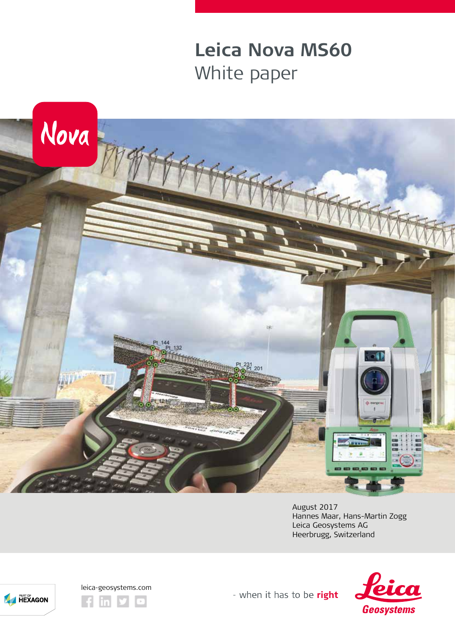# **Leica Nova MS60** White paper



August 2017 Hannes Maar, Hans-Martin Zogg Leica Geosystems AG Heerbrugg, Switzerland





**EXAGON** 

- when it has to be right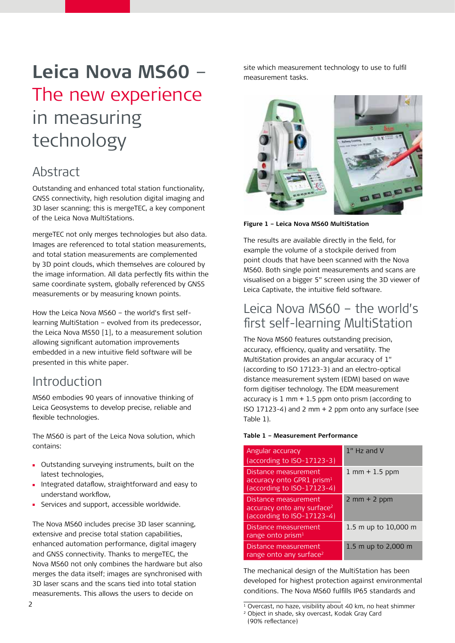# **Leica Nova MS60** – The new experience in measuring technology

# Abstract

Outstanding and enhanced total station functionality, GNSS connectivity, high resolution digital imaging and 3D laser scanning; this is mergeTEC, a key component of the Leica Nova MultiStations.

mergeTEC not only merges technologies but also data. Images are referenced to total station measurements, and total station measurements are complemented by 3D point clouds, which themselves are coloured by the image information. All data perfectly fits within the same coordinate system, globally referenced by GNSS measurements or by measuring known points.

How the Leica Nova MS60 – the world's first selflearning MultiStation – evolved from its predecessor, the Leica Nova MS50 [1], to a measurement solution allowing significant automation improvements embedded in a new intuitive field software will be presented in this white paper.

### Introduction

MS60 embodies 90 years of innovative thinking of Leica Geosystems to develop precise, reliable and flexible technologies.

The MS60 is part of the Leica Nova solution, which contains:

- Outstanding surveying instruments, built on the latest technologies,
- **Integrated dataflow, straightforward and easy to** understand workflow,
- Services and support, accessible worldwide.

The Nova MS60 includes precise 3D laser scanning, extensive and precise total station capabilities, enhanced automation performance, digital imagery and GNSS connectivity. Thanks to mergeTEC, the Nova MS60 not only combines the hardware but also merges the data itself; images are synchronised with 3D laser scans and the scans tied into total station measurements. This allows the users to decide on

site which measurement technology to use to fulfil measurement tasks.



**Figure 1 – Leica Nova MS60 MultiStation** 

The results are available directly in the field, for example the volume of a stockpile derived from point clouds that have been scanned with the Nova MS60. Both single point measurements and scans are visualised on a bigger 5" screen using the 3D viewer of Leica Captivate, the intuitive field software.

### Leica Nova MS60 – the world's first self-learning MultiStation

The Nova MS60 features outstanding precision, accuracy, efficiency, quality and versatility. The MultiStation provides an angular accuracy of 1" (according to ISO 17123-3) and an electro-optical distance measurement system (EDM) based on wave form digitiser technology. The EDM measurement accuracy is  $1 \text{ mm} + 1.5 \text{ ppm}$  onto prism (according to ISO 17123-4) and 2 mm + 2 ppm onto any surface (see Table 1).

#### **Table 1 – Measurement Performance**

| Angular accuracy<br>(according to ISO-17123-3)                                               | 1" Hz and V                          |
|----------------------------------------------------------------------------------------------|--------------------------------------|
| Distance measurement<br>accuracy onto GPR1 prism <sup>1</sup><br>(according to ISO-17123-4)  | $1 \, \text{mm} + 1.5 \, \text{ppm}$ |
| Distance measurement<br>accuracy onto any surface <sup>2</sup><br>(according to ISO-17123-4) | $2$ mm + $2$ ppm                     |
| Distance measurement<br>range onto $prism1$                                                  | 1.5 m up to 10,000 m                 |
| Distance measurement<br>range onto any surface <sup>2</sup>                                  | 1.5 m up to 2,000 m                  |

The mechanical design of the MultiStation has been developed for highest protection against environmental conditions. The Nova MS60 fulfills IP65 standards and

<sup>2 1</sup> Overcast, no haze, visibility about 40 km, no heat shimmer <sup>2</sup> Object in shade, sky overcast, Kodak Gray Card (90% reflectance)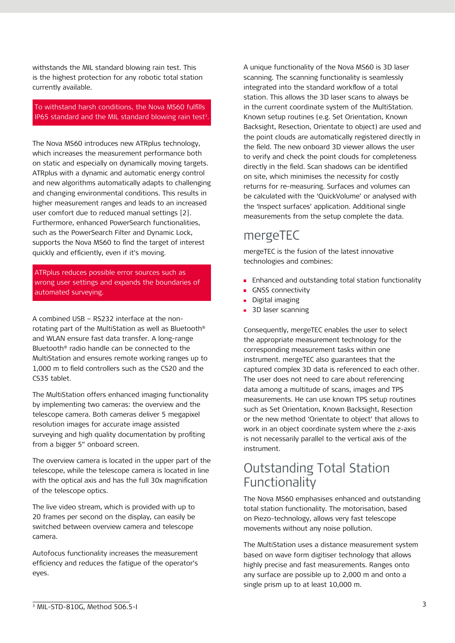withstands the MIL standard blowing rain test. This is the highest protection for any robotic total station currently available.

#### To withstand harsh conditions, the Nova MS60 fulfills IP65 standard and the MIL standard blowing rain test<sup>3</sup>.

The Nova MS60 introduces new ATRplus technology, which increases the measurement performance both on static and especially on dynamically moving targets. ATRplus with a dynamic and automatic energy control and new algorithms automatically adapts to challenging and changing environmental conditions. This results in higher measurement ranges and leads to an increased user comfort due to reduced manual settings [2]. Furthermore, enhanced PowerSearch functionalities, such as the PowerSearch Filter and Dynamic Lock, supports the Nova MS60 to find the target of interest quickly and efficiently, even if it's moving.

ATRplus reduces possible error sources such as wrong user settings and expands the boundaries of automated surveying.

A combined USB – RS232 interface at the nonrotating part of the MultiStation as well as Bluetooth® and WLAN ensure fast data transfer. A long-range Bluetooth® radio handle can be connected to the MultiStation and ensures remote working ranges up to 1,000 m to field controllers such as the CS20 and the CS35 tablet.

The MultiStation offers enhanced imaging functionality by implementing two cameras: the overview and the telescope camera. Both cameras deliver 5 megapixel resolution images for accurate image assisted surveying and high quality documentation by profiting from a bigger 5" onboard screen.

The overview camera is located in the upper part of the telescope, while the telescope camera is located in line with the optical axis and has the full 30x magnification of the telescope optics.

The live video stream, which is provided with up to 20 frames per second on the display, can easily be switched between overview camera and telescope camera.

Autofocus functionality increases the measurement efficiency and reduces the fatigue of the operator's eyes.

A unique functionality of the Nova MS60 is 3D laser scanning. The scanning functionality is seamlessly integrated into the standard workflow of a total station. This allows the 3D laser scans to always be in the current coordinate system of the MultiStation. Known setup routines (e.g. Set Orientation, Known Backsight, Resection, Orientate to object) are used and the point clouds are automatically registered directly in the field. The new onboard 3D viewer allows the user to verify and check the point clouds for completeness directly in the field. Scan shadows can be identified on site, which minimises the necessity for costly returns for re-measuring. Surfaces and volumes can be calculated with the 'QuickVolume' or analysed with the 'Inspect surfaces' application. Additional single measurements from the setup complete the data.

#### mergeTEC

mergeTEC is the fusion of the latest innovative technologies and combines:

- **Enhanced and outstanding total station functionality**
- **GNSS** connectivity
- **Digital imaging**
- **3D** laser scanning

Consequently, mergeTEC enables the user to select the appropriate measurement technology for the corresponding measurement tasks within one instrument. mergeTEC also guarantees that the captured complex 3D data is referenced to each other. The user does not need to care about referencing data among a multitude of scans, images and TPS measurements. He can use known TPS setup routines such as Set Orientation, Known Backsight, Resection or the new method 'Orientate to object' that allows to work in an object coordinate system where the z-axis is not necessarily parallel to the vertical axis of the instrument.

### Outstanding Total Station **Functionality**

The Nova MS60 emphasises enhanced and outstanding total station functionality. The motorisation, based on Piezo-technology, allows very fast telescope movements without any noise pollution.

The MultiStation uses a distance measurement system based on wave form digitiser technology that allows highly precise and fast measurements. Ranges onto any surface are possible up to 2,000 m and onto a single prism up to at least 10,000 m.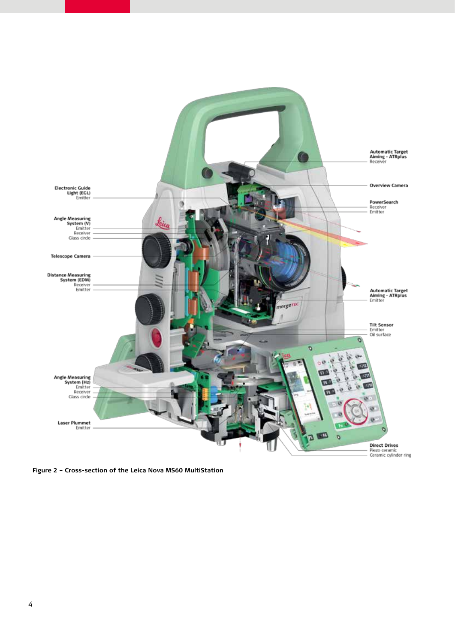

**Figure 2 – Cross-section of the Leica Nova MS60 MultiStation**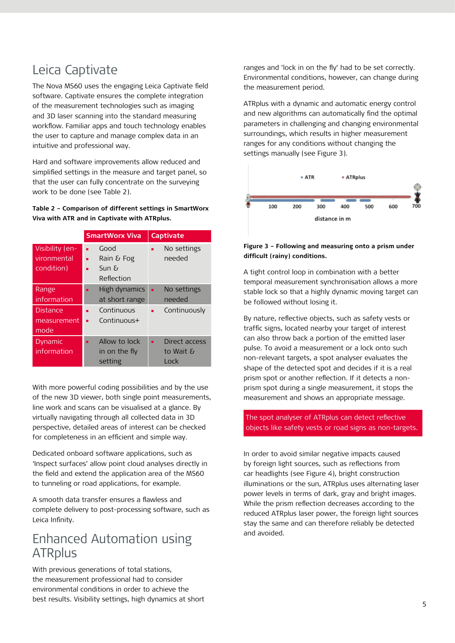# Leica Captivate

The Nova MS60 uses the engaging Leica Captivate field software. Captivate ensures the complete integration of the measurement technologies such as imaging and 3D laser scanning into the standard measuring workflow. Familiar apps and touch technology enables the user to capture and manage complex data in an intuitive and professional way.

Hard and software improvements allow reduced and simplified settings in the measure and target panel, so that the user can fully concentrate on the surveying work to be done (see Table 2).

**Table 2 – Comparison of different settings in SmartWorx Viva with ATR and in Captivate with ATRplus.**

|                                              | <b>SmartWorx Viva</b>                         | <b>Captivate</b>                   |
|----------------------------------------------|-----------------------------------------------|------------------------------------|
| Visibility (en-<br>vironmental<br>condition) | Good<br>ш<br>Rain & Fog<br>SunE<br>Reflection | No settings<br>п<br>needed         |
| Range<br>information                         | High dynamics<br>at short range               | No settings<br>п<br>needed         |
| <b>Distance</b><br>measurement<br>mode       | Continuous<br>Continuous+                     | Continuously<br>ш                  |
| Dynamic<br>information                       | Allow to lock<br>in on the fly<br>setting     | Direct access<br>to Wait &<br>Lock |

With more powerful coding possibilities and by the use of the new 3D viewer, both single point measurements, line work and scans can be visualised at a glance. By virtually navigating through all collected data in 3D perspective, detailed areas of interest can be checked for completeness in an efficient and simple way.

Dedicated onboard software applications, such as 'Inspect surfaces' allow point cloud analyses directly in the field and extend the application area of the MS60 to tunneling or road applications, for example.

A smooth data transfer ensures a flawless and complete delivery to post-processing software, such as Leica Infinity.

#### Enhanced Automation using **ATRplus**

With previous generations of total stations, the measurement professional had to consider environmental conditions in order to achieve the best results. Visibility settings, high dynamics at short ranges and 'lock in on the fly' had to be set correctly. Environmental conditions, however, can change during the measurement period.

ATRplus with a dynamic and automatic energy control and new algorithms can automatically find the optimal parameters in challenging and changing environmental surroundings, which results in higher measurement ranges for any conditions without changing the settings manually (see Figure 3).



#### **Figure 3 – Following and measuring onto a prism under difficult (rainy) conditions.**

A tight control loop in combination with a better temporal measurement synchronisation allows a more stable lock so that a highly dynamic moving target can be followed without losing it.

By nature, reflective objects, such as safety vests or traffic signs, located nearby your target of interest can also throw back a portion of the emitted laser pulse. To avoid a measurement or a lock onto such non-relevant targets, a spot analyser evaluates the shape of the detected spot and decides if it is a real prism spot or another reflection. If it detects a nonprism spot during a single measurement, it stops the measurement and shows an appropriate message.

The spot analyser of ATRplus can detect reflective objects like safety vests or road signs as non-targets.

In order to avoid similar negative impacts caused by foreign light sources, such as reflections from car headlights (see Figure 4), bright construction illuminations or the sun, ATRplus uses alternating laser power levels in terms of dark, gray and bright images. While the prism reflection decreases according to the reduced ATRplus laser power, the foreign light sources stay the same and can therefore reliably be detected and avoided.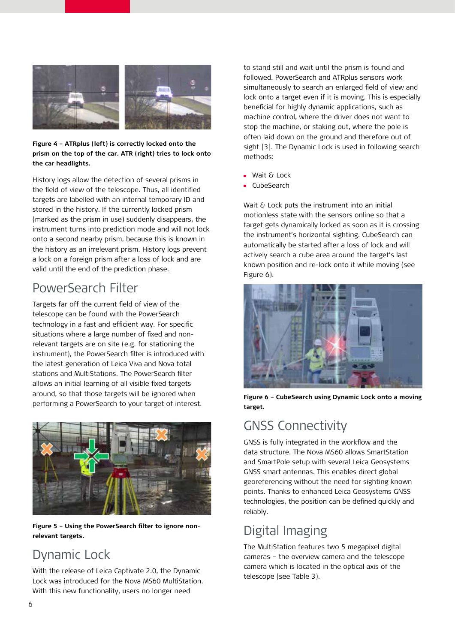

#### **Figure 4 – ATRplus (left) is correctly locked onto the prism on the top of the car. ATR (right) tries to lock onto the car headlights.**

History logs allow the detection of several prisms in the field of view of the telescope. Thus, all identified targets are labelled with an internal temporary ID and stored in the history. If the currently locked prism (marked as the prism in use) suddenly disappears, the instrument turns into prediction mode and will not lock onto a second nearby prism, because this is known in the history as an irrelevant prism. History logs prevent a lock on a foreign prism after a loss of lock and are valid until the end of the prediction phase.

# PowerSearch Filter

Targets far off the current field of view of the telescope can be found with the PowerSearch technology in a fast and efficient way. For specific situations where a large number of fixed and nonrelevant targets are on site (e.g. for stationing the instrument), the PowerSearch filter is introduced with the latest generation of Leica Viva and Nova total stations and MultiStations. The PowerSearch filter allows an initial learning of all visible fixed targets around, so that those targets will be ignored when performing a PowerSearch to your target of interest.



**Figure 5 – Using the PowerSearch filter to ignore nonrelevant targets.**

## Dynamic Lock

With the release of Leica Captivate 2.0, the Dynamic Lock was introduced for the Nova MS60 MultiStation. With this new functionality, users no longer need

to stand still and wait until the prism is found and followed. PowerSearch and ATRplus sensors work simultaneously to search an enlarged field of view and lock onto a target even if it is moving. This is especially beneficial for highly dynamic applications, such as machine control, where the driver does not want to stop the machine, or staking out, where the pole is often laid down on the ground and therefore out of sight [3]. The Dynamic Lock is used in following search methods:

- Wait & Lock
- CubeSearch

Wait & Lock puts the instrument into an initial motionless state with the sensors online so that a target gets dynamically locked as soon as it is crossing the instrument's horizontal sighting. CubeSearch can automatically be started after a loss of lock and will actively search a cube area around the target's last known position and re-lock onto it while moving (see Figure 6).



**Figure 6 – CubeSearch using Dynamic Lock onto a moving target.**

# GNSS Connectivity

GNSS is fully integrated in the workflow and the data structure. The Nova MS60 allows SmartStation and SmartPole setup with several Leica Geosystems GNSS smart antennas. This enables direct global georeferencing without the need for sighting known points. Thanks to enhanced Leica Geosystems GNSS technologies, the position can be defined quickly and reliably.

# Digital Imaging

The MultiStation features two 5 megapixel digital cameras – the overview camera and the telescope camera which is located in the optical axis of the telescope (see Table 3).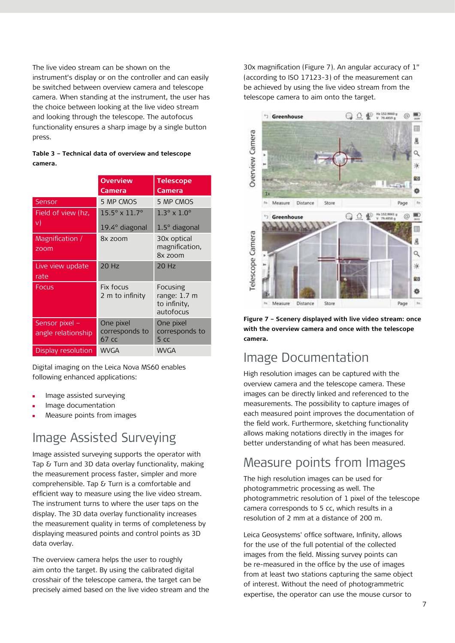The live video stream can be shown on the instrument's display or on the controller and can easily be switched between overview camera and telescope camera. When standing at the instrument, the user has the choice between looking at the live video stream and looking through the telescope. The autofocus functionality ensures a sharp image by a single button press.

|         | Table 3 - Technical data of overview and telescope |
|---------|----------------------------------------------------|
| camera. |                                                    |

|                                      | <b>Overview</b>                                 | <b>Telescope</b>                                                |  |
|--------------------------------------|-------------------------------------------------|-----------------------------------------------------------------|--|
|                                      | Camera                                          | <b>Camera</b>                                                   |  |
| Sensor                               | 5 MP CMOS                                       | 5 MP CMOS                                                       |  |
| Field of view (hz,                   | $15.5^{\circ} \times 11.7^{\circ}$              | $1.3^\circ \times 1.0^\circ$                                    |  |
| v)                                   | $19.4^\circ$ diagonal                           | $1.5^\circ$ diagonal                                            |  |
| Magnification /<br>zoom              | 8x zoom                                         | 30x optical<br>magnification,<br>8x zoom                        |  |
| Live view update<br>rate             | $20$ Hz                                         | 20 Hz                                                           |  |
| <b>Focus</b>                         | Fix focus<br>2 m to infinity                    | Focusing<br>range: $1.7 \text{ m}$<br>to infinity,<br>autofocus |  |
| Sensor pixel -<br>angle relationship | One pixel<br>corresponds to<br>67 <sub>cc</sub> | One pixel<br>corresponds to<br>5 <sub>c</sub>                   |  |
| Display resolution                   | <b>WVGA</b>                                     | <b>WVGA</b>                                                     |  |

Digital imaging on the Leica Nova MS60 enables following enhanced applications:

- Image assisted surveying
- Image documentation
- Measure points from images

# Image Assisted Surveying

Image assisted surveying supports the operator with Tap & Turn and 3D data overlay functionality, making the measurement process faster, simpler and more comprehensible. Tap & Turn is a comfortable and efficient way to measure using the live video stream. The instrument turns to where the user taps on the display. The 3D data overlay functionality increases the measurement quality in terms of completeness by displaying measured points and control points as 3D data overlay.

The overview camera helps the user to roughly aim onto the target. By using the calibrated digital crosshair of the telescope camera, the target can be precisely aimed based on the live video stream and the 30x magnification (Figure 7). An angular accuracy of 1" (according to ISO 17123-3) of the measurement can be achieved by using the live video stream from the telescope camera to aim onto the target.



**Figure 7 – Scenery displayed with live video stream: once with the overview camera and once with the telescope camera.**

#### Image Documentation

High resolution images can be captured with the overview camera and the telescope camera. These images can be directly linked and referenced to the measurements. The possibility to capture images of each measured point improves the documentation of the field work. Furthermore, sketching functionality allows making notations directly in the images for better understanding of what has been measured.

### Measure points from Images

The high resolution images can be used for photogrammetric processing as well. The photogrammetric resolution of 1 pixel of the telescope camera corresponds to 5 cc, which results in a resolution of 2 mm at a distance of 200 m.

Leica Geosystems' office software, Infinity, allows for the use of the full potential of the collected images from the field. Missing survey points can be re-measured in the office by the use of images from at least two stations capturing the same object of interest. Without the need of photogrammetric expertise, the operator can use the mouse cursor to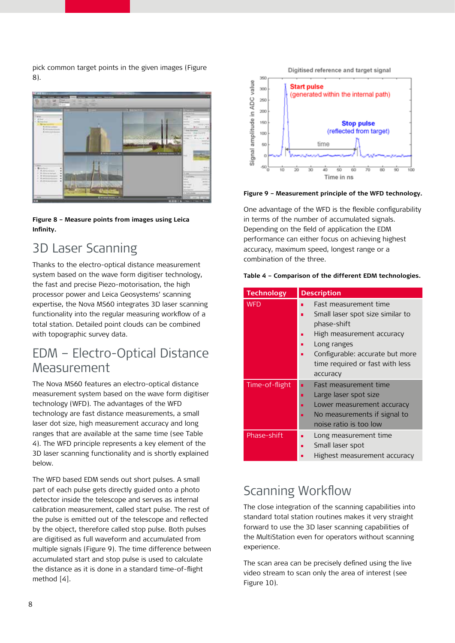pick common target points in the given images (Figure 8).



**Figure 8 – Measure points from images using Leica Infinity.**

# 3D Laser Scanning

Thanks to the electro-optical distance measurement system based on the wave form digitiser technology, the fast and precise Piezo-motorisation, the high processor power and Leica Geosystems' scanning expertise, the Nova MS60 integrates 3D laser scanning functionality into the regular measuring workflow of a total station. Detailed point clouds can be combined with topographic survey data.

### EDM – Electro-Optical Distance Measurement

The Nova MS60 features an electro-optical distance measurement system based on the wave form digitiser technology (WFD). The advantages of the WFD technology are fast distance measurements, a small laser dot size, high measurement accuracy and long ranges that are available at the same time (see Table 4). The WFD principle represents a key element of the 3D laser scanning functionality and is shortly explained below.

The WFD based EDM sends out short pulses. A small part of each pulse gets directly guided onto a photo detector inside the telescope and serves as internal calibration measurement, called start pulse. The rest of the pulse is emitted out of the telescope and reflected by the object, therefore called stop pulse. Both pulses are digitised as full waveform and accumulated from multiple signals (Figure 9). The time difference between accumulated start and stop pulse is used to calculate the distance as it is done in a standard time-of-flight method [4].



**Figure 9 – Measurement principle of the WFD technology.**

One advantage of the WFD is the flexible configurability in terms of the number of accumulated signals. Depending on the field of application the EDM performance can either focus on achieving highest accuracy, maximum speed, longest range or a combination of the three.

|  |  |  |  |  | Table 4 - Comparison of the different EDM technologies. |
|--|--|--|--|--|---------------------------------------------------------|
|--|--|--|--|--|---------------------------------------------------------|

| <b>Technology</b> | <b>Description</b>                                                                                                                                                                                               |
|-------------------|------------------------------------------------------------------------------------------------------------------------------------------------------------------------------------------------------------------|
| <b>WFD</b>        | Fast measurement time<br>Small laser spot size similar to<br>П<br>phase-shift<br>High measurement accuracy<br>п<br>Long ranges<br>Configurable: accurate but more<br>time required or fast with less<br>accuracy |
| Time-of-flight    | <b>Fast measurement time</b><br>п<br>Large laser spot size<br>П<br>Lower measurement accuracy<br>No measurements if signal to<br>noise ratio is too low                                                          |
| Phase-shift       | Long measurement time<br>Small laser spot<br>П<br>Highest measurement accuracy                                                                                                                                   |

### Scanning Workflow

The close integration of the scanning capabilities into standard total station routines makes it very straight forward to use the 3D laser scanning capabilities of the MultiStation even for operators without scanning experience.

The scan area can be precisely defined using the live video stream to scan only the area of interest (see Figure 10).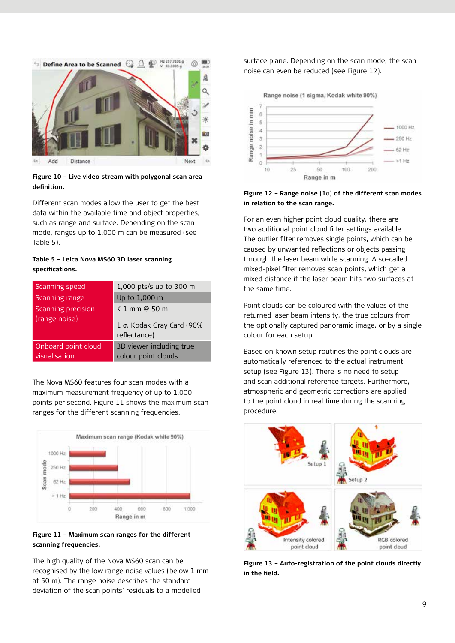

**Figure 10 – Live video stream with polygonal scan area definition.**

Different scan modes allow the user to get the best data within the available time and object properties, such as range and surface. Depending on the scan mode, ranges up to 1,000 m can be measured (see Table 5).

#### **Table 5 – Leica Nova MS60 3D laser scanning specifications.**

| Scanning speed                       | 1,000 pts/s up to 300 m                                    |
|--------------------------------------|------------------------------------------------------------|
| Scanning range                       | Up to 1,000 m                                              |
| Scanning precision<br>(range noise)  | < 1 mm @ 50 m<br>1 σ, Kodak Gray Card (90%<br>reflectance) |
| Onboard point cloud<br>visualisation | 3D viewer including true<br>colour point clouds            |

The Nova MS60 features four scan modes with a maximum measurement frequency of up to 1,000 points per second. Figure 11 shows the maximum scan ranges for the different scanning frequencies.



**Figure 11 – Maximum scan ranges for the different scanning frequencies.**

The high quality of the Nova MS60 scan can be recognised by the low range noise values (below 1 mm at 50 m). The range noise describes the standard deviation of the scan points' residuals to a modelled

surface plane. Depending on the scan mode, the scan noise can even be reduced (see Figure 12).



**Figure 12 – Range noise (1**σ**) of the different scan modes in relation to the scan range.**

For an even higher point cloud quality, there are two additional point cloud filter settings available. The outlier filter removes single points, which can be caused by unwanted reflections or objects passing through the laser beam while scanning. A so-called mixed-pixel filter removes scan points, which get a mixed distance if the laser beam hits two surfaces at the same time.

Point clouds can be coloured with the values of the returned laser beam intensity, the true colours from the optionally captured panoramic image, or by a single colour for each setup.

Based on known setup routines the point clouds are automatically referenced to the actual instrument setup (see Figure 13). There is no need to setup and scan additional reference targets. Furthermore, atmospheric and geometric corrections are applied to the point cloud in real time during the scanning procedure.



**Figure 13 – Auto-registration of the point clouds directly in the field.**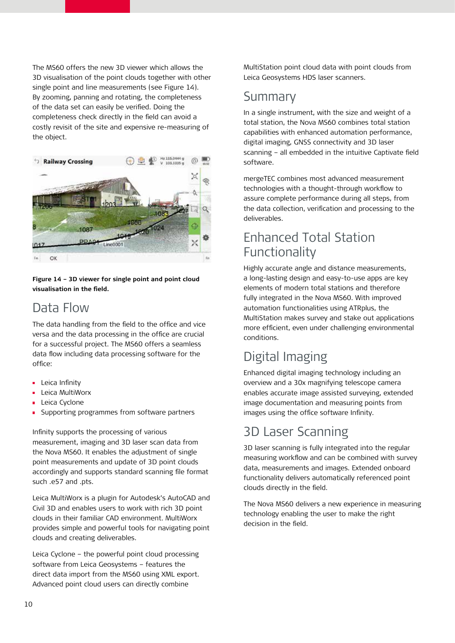The MS60 offers the new 3D viewer which allows the 3D visualisation of the point clouds together with other single point and line measurements (see Figure 14). By zooming, panning and rotating, the completeness of the data set can easily be verified. Doing the completeness check directly in the field can avoid a costly revisit of the site and expensive re-measuring of the object.



**Figure 14 – 3D viewer for single point and point cloud visualisation in the field.**

### Data Flow

The data handling from the field to the office and vice versa and the data processing in the office are crucial for a successful project. The MS60 offers a seamless data flow including data processing software for the office:

- **Leica Infinity**
- Leica MultiWorx  $\blacksquare$
- Leica Cyclone
- Supporting programmes from software partners  $\blacksquare$

Infinity supports the processing of various measurement, imaging and 3D laser scan data from the Nova MS60. It enables the adjustment of single point measurements and update of 3D point clouds accordingly and supports standard scanning file format such .e57 and .pts.

Leica MultiWorx is a plugin for Autodesk's AutoCAD and Civil 3D and enables users to work with rich 3D point clouds in their familiar CAD environment. MultiWorx provides simple and powerful tools for navigating point clouds and creating deliverables.

Leica Cyclone – the powerful point cloud processing software from Leica Geosystems – features the direct data import from the MS60 using XML export. Advanced point cloud users can directly combine

MultiStation point cloud data with point clouds from Leica Geosystems HDS laser scanners.

## Summary

In a single instrument, with the size and weight of a total station, the Nova MS60 combines total station capabilities with enhanced automation performance, digital imaging, GNSS connectivity and 3D laser scanning – all embedded in the intuitive Captivate field software.

mergeTEC combines most advanced measurement technologies with a thought-through workflow to assure complete performance during all steps, from the data collection, verification and processing to the deliverables.

## Enhanced Total Station **Functionality**

Highly accurate angle and distance measurements, a long-lasting design and easy-to-use apps are key elements of modern total stations and therefore fully integrated in the Nova MS60. With improved automation functionalities using ATRplus, the MultiStation makes survey and stake out applications more efficient, even under challenging environmental conditions.

# Digital Imaging

Enhanced digital imaging technology including an overview and a 30x magnifying telescope camera enables accurate image assisted surveying, extended image documentation and measuring points from images using the office software Infinity.

# 3D Laser Scanning

3D laser scanning is fully integrated into the regular measuring workflow and can be combined with survey data, measurements and images. Extended onboard functionality delivers automatically referenced point clouds directly in the field.

The Nova MS60 delivers a new experience in measuring technology enabling the user to make the right decision in the field.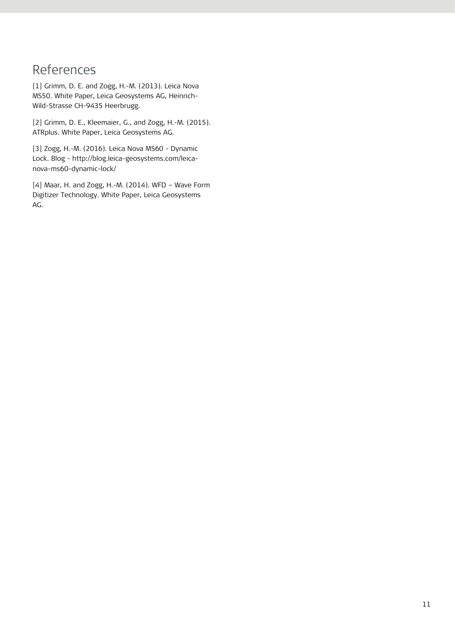# References

[1] Grimm, D. E. and Zogg, H.-M. (2013). Leica Nova MS50. White Paper, Leica Geosystems AG, Heinrich-Wild-Strasse CH-9435 Heerbrugg.

[2] Grimm, D. E., Kleemaier, G., and Zogg, H.-M. (2015). ATRplus. White Paper, Leica Geosystems AG.

[3] Zogg, H.-M. (2016). Leica Nova MS60 - Dynamic Lock. Blog - http://blog.leica-geosystems.com/leicanova-ms60-dynamic-lock/

[4] Maar, H. and Zogg, H.-M. (2014). WFD – Wave Form Digitizer Technology. White Paper, Leica Geosystems AG.